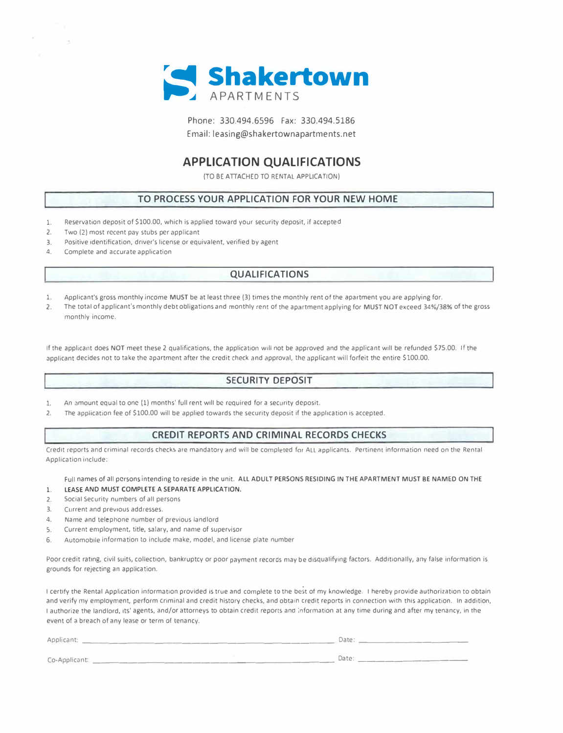

Phone: 330.494.6596 Fax: 330.494.5186 Email: leasing@shakertownapartments.net

### **APPLICATION QUALIFICATIONS**

(TO BE ATTACHED TO RENTAL APPLICATION)

#### **TO PROCESS YOUR APPLICATION FOR YOUR NEW HOME**

- 1. Reservation deposit of \$100.00, which is applied toward your security deposit, if accepted
- 2. Two (2) most recent pay stubs per applicant
- 3. Positive identification, driver's license or equivalent, verified by agent
- 4. Complete and accurate application

#### **QUALIFICATIONS**

- 1. Applicant's gross monthly income MUST be at least three (3) times the monthly rent of the apartment you are applying for.
- 2. The total of applicant's monthly debt obligations and monthly *rent* of the apartment applying for MUST NOT exceed 34%/38% of the gross monthly income.

If the applicant does NOT meet these 2 qualifications, the application will not be approved and the applicant will be refunded \$75.00. If the applicant decides not to take the apartment after the credit check and approval, the applicant will forfeit the entire \$100.00.

#### **SECURITY DEPOSIT**

- 1. An amount equal to one (1) months' full rent will be required for a security deposit.
- 2. The application fee of \$100.00 will be applied towards the security deposit if the application is accepted.

#### **CREDIT REPORTS AND CRIMINAL RECORDS CHECKS**

Credit reports and criminal records checks are mandatory and will be completed for ALL applicants. Pertinent information need on the Rental Application include:

Full names of all persons intending to reside in the unit. ALL ADULT PERSONS RESIDING IN THE APARTMENT MUST BE NAMED ON THE 1. LEASE AND MUST COMPLETE A SEPARATE APPLICATION,

- 
- 2. Social Security numbers of all persons
- 3. Current and previous addresses.
- 4. Name and telephone number of previous landlord
- 5. Current employment, title, salary, and name of supervisor
- 6. Automobile information to include make, model, and license plate number

Poor credit rating, civil suits, collection, bankruptcy or poor payment records may be disqualifying factors. Additionally, any false information is grounds for rejecting an application.

I certify the Rental Application information provided is true and complete to the best of my knowledge. I hereby provide authorization to obtain and verify my employment, perform criminal and credit history checks, and obtain credit reports in connection with this application. In addition, I authorize the landlord, its' agents, and/or attorneys to obtain credit reports and information at any time during and after my tenancy, in the event of a breach of any lease or term of tenancy.

| Applicant:         | Date: |
|--------------------|-------|
| Co-Applicant: ____ | Date  |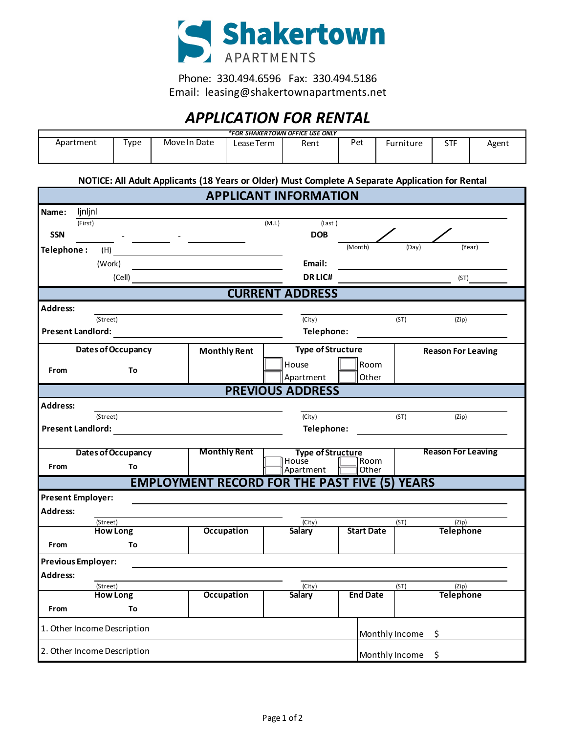

Phone: 330.494.6596 Fax: 330.494.5186 Email: leasing@shakertownapartments.net

# *APPLICATION FOR RENTAL*

| <i><b>*FOR SHAKERTOWN OFFICE USE ONLY</b></i> |           |              |            |      |     |           |     |       |
|-----------------------------------------------|-----------|--------------|------------|------|-----|-----------|-----|-------|
| Apartment                                     | -<br>Type | Move In Date | Lease Term | Rent | Pet | Furniture | STF | Agent |

**NOTICE: All Adult Applicants (18 Years or Older) Must Complete A Separate Application for Rental**

|                          |                             |                                                      | <b>APPLICANT INFORMATION</b>      |                   |       |                           |  |
|--------------------------|-----------------------------|------------------------------------------------------|-----------------------------------|-------------------|-------|---------------------------|--|
| ljnljnl<br>Name:         |                             |                                                      |                                   |                   |       |                           |  |
| (First)                  |                             |                                                      | (M.I.)<br>(Last)                  |                   |       |                           |  |
| <b>SSN</b>               |                             |                                                      | <b>DOB</b>                        |                   |       |                           |  |
| Telephone:               | (H)                         |                                                      |                                   | (Month)           | (Day) | (Year)                    |  |
|                          | (Work)                      |                                                      | Email:                            |                   |       |                           |  |
|                          | (Cell)                      |                                                      | <b>DRLIC#</b>                     |                   |       | (ST)                      |  |
|                          |                             |                                                      | <b>CURRENT ADDRESS</b>            |                   |       |                           |  |
| Address:                 |                             |                                                      |                                   |                   |       |                           |  |
|                          | (Street)                    |                                                      | (City)                            |                   | (ST)  | (Zip)                     |  |
| <b>Present Landlord:</b> |                             |                                                      | Telephone:                        |                   |       |                           |  |
|                          | <b>Dates of Occupancy</b>   | <b>Monthly Rent</b>                                  | <b>Type of Structure</b>          |                   |       | <b>Reason For Leaving</b> |  |
| From                     | To                          |                                                      | House                             | Room              |       |                           |  |
|                          |                             |                                                      | Apartment                         | Other             |       |                           |  |
|                          |                             |                                                      | <b>PREVIOUS ADDRESS</b>           |                   |       |                           |  |
| Address:                 |                             |                                                      |                                   |                   |       |                           |  |
|                          | (Street)                    |                                                      | $\overline{(City)}$               |                   | (ST)  | (Zip)                     |  |
| <b>Present Landlord:</b> |                             |                                                      | Telephone:                        |                   |       |                           |  |
|                          |                             | <b>Monthly Rent</b>                                  |                                   |                   |       | <b>Reason For Leaving</b> |  |
|                          | Dates of Occupancy          |                                                      | <b>Type of Structure</b><br>House | Room              |       |                           |  |
| From                     | To                          |                                                      | Apartment                         | Other             |       |                           |  |
|                          |                             | <b>EMPLOYMENT RECORD FOR THE PAST FIVE (5) YEARS</b> |                                   |                   |       |                           |  |
| Present Employer:        |                             |                                                      |                                   |                   |       |                           |  |
| <b>Address:</b>          |                             |                                                      |                                   |                   |       |                           |  |
|                          | (Street)<br><b>How Long</b> | <b>Occupation</b>                                    | (City)<br><b>Salary</b>           | <b>Start Date</b> | (ST)  | (Zip)<br><b>Telephone</b> |  |
| From                     | To                          |                                                      |                                   |                   |       |                           |  |
|                          |                             |                                                      |                                   |                   |       |                           |  |
| Previous Employer:       |                             |                                                      |                                   |                   |       |                           |  |
| <b>Address:</b>          | (Street)                    |                                                      | (City)                            |                   | (ST)  | (Zip)                     |  |
|                          | <b>How Long</b>             | <b>Occupation</b>                                    | <b>Salary</b>                     | <b>End Date</b>   |       | <b>Telephone</b>          |  |
| From                     | To                          |                                                      |                                   |                   |       |                           |  |
|                          | 1. Other Income Description |                                                      |                                   |                   |       |                           |  |
|                          |                             |                                                      |                                   | Monthly Income    | \$    |                           |  |
|                          | 2. Other Income Description |                                                      |                                   | Monthly Income    | \$    |                           |  |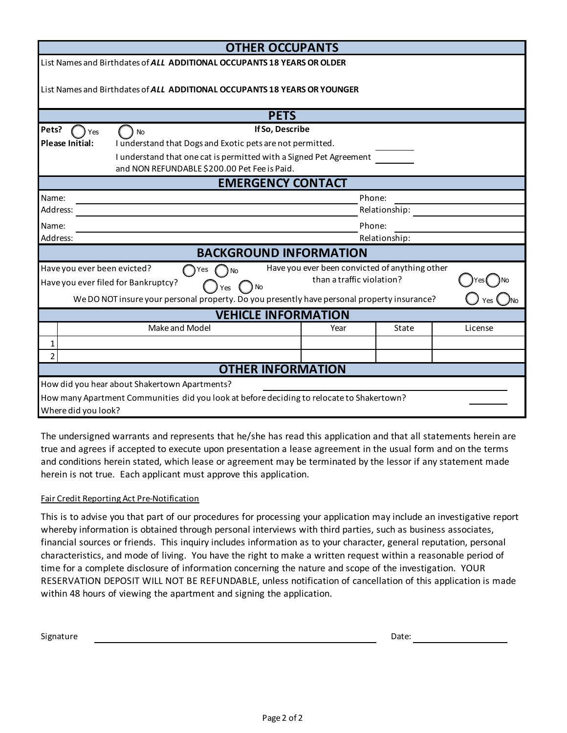| <b>OTHER OCCUPANTS</b>                                                                                                                                                                                                                                                       |               |               |         |  |  |
|------------------------------------------------------------------------------------------------------------------------------------------------------------------------------------------------------------------------------------------------------------------------------|---------------|---------------|---------|--|--|
| List Names and Birthdates of ALL ADDITIONAL OCCUPANTS 18 YEARS OR OLDER                                                                                                                                                                                                      |               |               |         |  |  |
| List Names and Birthdates of ALL ADDITIONAL OCCUPANTS 18 YEARS OR YOUNGER                                                                                                                                                                                                    |               |               |         |  |  |
| <b>PETS</b>                                                                                                                                                                                                                                                                  |               |               |         |  |  |
| If So, Describe<br>Pets?<br>Yes<br><b>No</b>                                                                                                                                                                                                                                 |               |               |         |  |  |
| <b>Please Initial:</b><br>I understand that Dogs and Exotic pets are not permitted.                                                                                                                                                                                          |               |               |         |  |  |
| I understand that one cat is permitted with a Signed Pet Agreement<br>and NON REFUNDABLE \$200.00 Pet Fee is Paid.                                                                                                                                                           |               |               |         |  |  |
| <b>EMERGENCY CONTACT</b>                                                                                                                                                                                                                                                     |               |               |         |  |  |
| Name:                                                                                                                                                                                                                                                                        | Phone:        |               |         |  |  |
| Address:                                                                                                                                                                                                                                                                     | Relationship: |               |         |  |  |
| Name:                                                                                                                                                                                                                                                                        | Phone:        |               |         |  |  |
| Address:                                                                                                                                                                                                                                                                     |               | Relationship: |         |  |  |
| <b>BACKGROUND INFORMATION</b>                                                                                                                                                                                                                                                |               |               |         |  |  |
| Have you ever been convicted of anything other<br>Have you ever been evicted?<br>Yes<br>No<br>than a traffic violation?<br>Have you ever filed for Bankruptcy?<br>) No<br>Yes<br>We DO NOT insure your personal property. Do you presently have personal property insurance? |               |               |         |  |  |
| <b>VEHICLE INFORMATION</b>                                                                                                                                                                                                                                                   |               |               |         |  |  |
| Make and Model                                                                                                                                                                                                                                                               | Year          | State         | License |  |  |
| 1                                                                                                                                                                                                                                                                            |               |               |         |  |  |
| $\overline{2}$                                                                                                                                                                                                                                                               |               |               |         |  |  |
| <b>OTHER INFORMATION</b>                                                                                                                                                                                                                                                     |               |               |         |  |  |
| How did you hear about Shakertown Apartments?                                                                                                                                                                                                                                |               |               |         |  |  |
| How many Apartment Communities did you look at before deciding to relocate to Shakertown?                                                                                                                                                                                    |               |               |         |  |  |
| Where did you look?                                                                                                                                                                                                                                                          |               |               |         |  |  |

The undersigned warrants and represents that he/she has read this application and that all statements herein are true and agrees if accepted to execute upon presentation a lease agreement in the usual form and on the terms and conditions herein stated, which lease or agreement may be terminated by the lessor if any statement made herein is not true. Each applicant must approve this application.

### Fair Credit Reporting Act Pre-Notification

This is to advise you that part of our procedures for processing your application may include an investigative report whereby information is obtained through personal interviews with third parties, such as business associates, financial sources or friends. This inquiry includes information as to your character, general reputation, personal characteristics, and mode of living. You have the right to make a written request within a reasonable period of time for a complete disclosure of information concerning the nature and scope of the investigation. YOUR RESERVATION DEPOSIT WILL NOT BE REFUNDABLE, unless notification of cancellation of this application is made within 48 hours of viewing the apartment and signing the application.

Signature

Date: and the state of the state of the state of the state of the state of the state of the state of the state of the state of the state of the state of the state of the state of the state of the state of the state of the